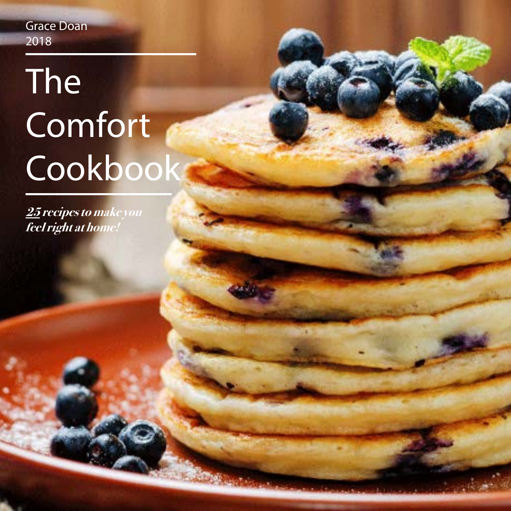Grace Doan 2018

# The Comfort Cookbook

**25 recipes to make you feel right at home!**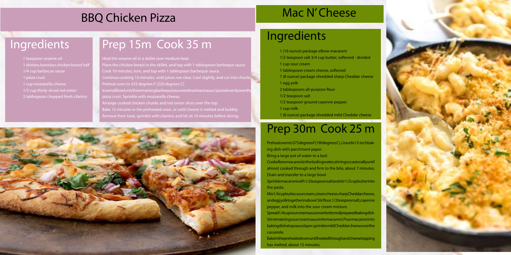## Ingredients

- 1 (16 ounce) package elbow macaroni 1/2 teaspoon salt 3/4 cup butter, softened - divided
- 
- 1 cup sour cream
- 
- 1 tablespoon cream cheese, softened 1 (8 ounce) package shredded sharp Cheddar cheese
- 1 egg yolk
- 2 tablespoons all-purpose flour
- 1/2 teaspoon salt
- 1/2 teaspoon ground cayenne pepper
- 1 cup milk
- 

- 
- 
- 1 (8 ounce) package shredded mild Cheddar cheese

## Prep 30m Cook 25 m

- Preheat oven to 375 degrees F (190 degrees C). Line a 9x13-inch bak-
	-
- Cookelbow macaroni in the boiling water, stirring occasionally until almost cooked through and firm to the bite, about 7 minutes.
- Sprinkle macaroni with 1/2 teaspoons altands tir 1/2 cup butter into
- Mix 1/4 cup butter, sour cream, cream cheese, sharp Cheddar cheese, and egg yolk to gether in a bowl. Stirflour, 1/2 teaspoons alt, cay enne
- Spread 1/4 cup sour cream sauce over bottom of prepared baking dish. Stirremaining sour cream sauce into macaroni. Pour macaroni into baking dish atop sauce layer; sprinkle mild Cheddar cheese over the
- Bake in the preheated oven until heated through and cheese topping



ing dish with parchment paper. Bring a large pot of water to a boil. Drain and transfer to a large bowl. the pasta.

pepper, and milk into the sour cream mixture. casserole.

has melted, about 15 minutes.

## Ingredients

- 1 teaspoon sesame oil
- 1 skinless boneless chicken breast half
- 1/4 cup barbecue sause
- 1 pizza crust
- 1 cup mozzarella cheese
- 1/3 cup thinly sliced red onion
- 2 tablespoon chopped fresh cilantro

## BBQ Chicken Pizza

## Prep 15m Cook 35 m

Heat the sesame oil in a skillet over medium heat. Place the chicken breast in the skillet, and top with 1 tablespoon barbeque sauce. Cook 10 minutes, turn, and top with 1 tablespoon barbeque sauce. Continue cooking 10 minutes, until juices run clear. Cool slightly, and cut into chunks. Preheat oven to 425 degrees F (220 degrees C). In a small bowl, mix the remaining barbeque sauce and marinara sauce. Spread evenly over the pizza crust. Sprinkle with mozzarella cheese. Arrange cooked chicken chunks and red onion slices over the top. Bake 15 minutes in the preheated oven, or until cheese is melted and bubbly. Remove from heat, sprinkle with cilantro, and let sit 10 minutes before slicing.



## Mac N' Cheese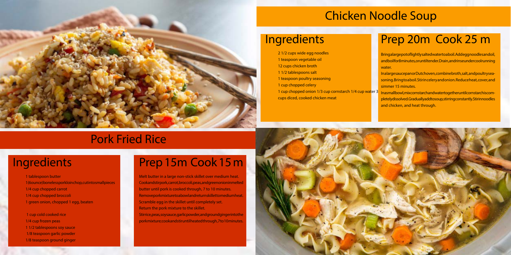### Pork Fried Rice

Melt butter in a large non-stick skillet over medium heat. Cookand stir pork, carrot, broccoli, peas, and green onion in melted butter until pork is cooked through, 7 to 10 minutes. Remove por kmixture to a bowl and return skillet to medium heat. Scramble egg in the skillet until completely set. Return the pork mixture to the skillet. Stirrice, peas, soy sauce, garlic powder, and ground ginger into the pork mixture; cook and stir until heated through, 7 to 10 minutes.



Bring a large pot of lightly salted water to a boil. Add egg noodles and oil, and boil for 8 minutes, or until tender. Drain, and rinse under cool running water.

### Ingredients

1 tablespoon butter

In a large sauce pan or Dutch oven, combine broth, salt, and poultry seasoning. Bring to a boil. Stir in celery and onion. Reduce heat, cover, and simmer 15 minutes.

- 1 (6 ounce) boneless pork loin chop, cut into small pieces
- 1/4 cup chopped carrot
- 1/4 cup chopped broccoli
- 1 green onion, chopped 1 egg, beaten

In a small bowl, mix cornstarch and water to gether until cornstarch is completely dissolved. Gradually add to soup, stirring constantly. Stirinnoodles and chicken, and heat through.

 1 cup cold cooked rice 1/4 cup frozen peas 1 1/2 tablespoons soy sauce 1/8 teaspoon garlic powder

1/8 teaspoon ground ginger

### Prep 15m Cook 15 m

### Chicken Noodle Soup

## Prep 20m Cook 25 m



### Ingredients

2 1/2 cups wide egg noodles 1 teaspoon vegetable oil 12 cups chicken broth 1 1/2 tablespoons salt 1 teaspoon poultry seasoning 1 cup chopped celery cups diced, cooked chicken meat

1 cup chopped onion 1/3 cup cornstarch 1/4 cup water 3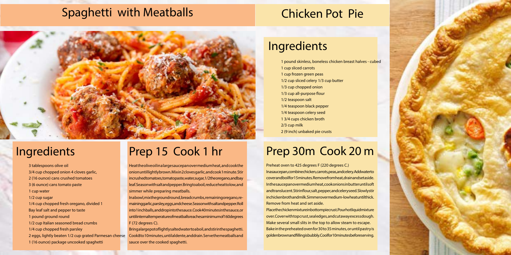### Spaghetti with Meatballs

## Prep 15 Cook 1 hr

Heat the olive oil in a large saucepan over medium heat, and cook the onion until lightly brown. Mix in 2 cloves garlic, and cook 1 minute. Stir in crushed tomatoes, tomato paste, water, sugar, 1/2 the oregano, and bay leaf. Season with salt and pepper. Bring to a boil, reduce heat to low, and simmer while preparing meatballs.

In a bowl, mix the ground round, bread crumbs, remaining or egano, remaining garlic, parsley, eggs, and cheese. Season with salt and pepper. Roll into 1 inch balls, and drop into the sauce. Cook 40 minutes in the sauce, or untilinternal temperature of meatballs reaches a minimum of 160 degrees F (72 degrees C).

Bring a large pot of lightly salted water to a boil, and stirin the spaghetti. Cook 8 to 10 minutes, until al dente, and drain. Serve the meatballs and sauce over the cooked spaghetti.

Preheat oven to 425 degrees F (220 degrees C.) In a sauce pan, combine chicken, carrots, peas, and celery. Add water to cover and boil for 15 minutes. Remove from heat, drain and set aside. In the saucepan over medium heat, cook onions in butter until soft and translucent. Stirin flour, salt, pepper, and celery seed. Slowly stir in chicken broth and milk. Simmer over medium-low heat until thick. Remove from heat and set aside. Place the chicken mixture in bottom pie crust. Pour hot liquid mixture over. Cover with top crust, seal edges, and cut away excess dough. Make several small slits in the top to allow steam to escape. Bake in the preheated oven for 30 to 35 minutes, or until pastry is golden brown and filling is bubbly. Cool for 10 minutes before serving.

## Ingredients

3 tablespoons olive oil 3/4 cup chopped onion 4 cloves garlic, 2 (16 ounce) cans crushed tomatoes 3 (6 ounce) cans tomato paste 1 cup water 1/2 cup sugar 1/4 cup chopped fresh oregano, divided 1 Bay leaf salt and pepper to taste 1 pound ground round 1/2 cup Italian seasoned bread crumbs 1/4 cup chopped fresh parsley 2 eggs, lightly beaten 1/2 cup grated Parmesan cheese 1 (16 ounce) package uncooked spaghetti

## Ingredients

1 pound skinless, boneless chicken breast halves - cubed

1 cup sliced carrots 1 cup frozen green peas 1/2 cup sliced celery 1/3 cup butter 1/3 cup chopped onion 1/3 cup all-purpose flour 1/2 teaspoon salt 1/4 teaspoon black pepper 1/4 teaspoon celery seed 1 3/4 cups chicken broth 2/3 cup milk 2 (9 inch) unbaked pie crusts

## Prep 30m Cook 20 m

## Chicken Pot Pie

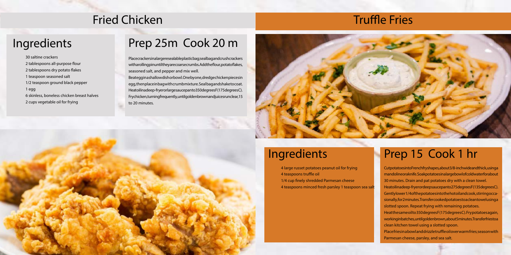### Fried Chicken

## Prep 25m Cook 20 m

Place crackers in a large resealable plastic bag; seal bag and crush crackers with a rolling pin until they are coarse crumbs. Add the flour, potat of lakes, seasoned salt, and pepper and mix well.

Beat egg in a shallow dish or bowl. One by one, dred ge chicken pieces in egg, then place in bag with crumb mixture. Seal bag and shake to coat. Heatoilinadeep-fryer or large sauce panto 350 degrees F (175 degrees C). Fry chicken, turning frequently, until golden brown and juices run clear, 15 to 20 minutes.



## Ingredients

30 saltine crackers

- 2 tablespoons all-purpose flour
- 2 tablespoons dry potato flakes
- 1 teaspoon seasoned salt
- 1/2 teaspoon ground black pepper
- 1 egg
- 6 skinless, boneless chicken breast halves
- 2 cups vegetable oil for frying

### Prep 15 Cook 1 hr

Cut potatoes into French fry shapes, about 3/8-inch wide and thick, using a mandoline or a knife. Soak potatoes in a large bowl of cold water for about 30 minutes. Drain and pat potatoes dry with a clean towel. Heatoilinadeep-fryerordeepsaucepanto275degreesF(135degreesC). Gently lower 1/4 of the potatoes into the hotoil and cook, stirring occasionally, for 2 minutes. Transfer cooked potatoes to a clean towel using a slotted spoon. Repeat frying with remaining potatoes. Heat the same oil to 350 degrees F (175 degrees C). Fry potatoes again, working in batches, until golden brown, about 5 minutes. Transfer friestoa clean kitchen towel using a slotted spoon. Place fries in a bowl and drizzle truffle oil over warm fries; season with Parmesan cheese, parsley, and sea salt.

## Ingredients

4 large russet potatoes peanut oil for frying 4 teaspoons truffle oil 1/4 cup finely shredded Parmesan cheese 4 teaspoons minced fresh parsley 1 teaspoon sea salt

### Truffle Fries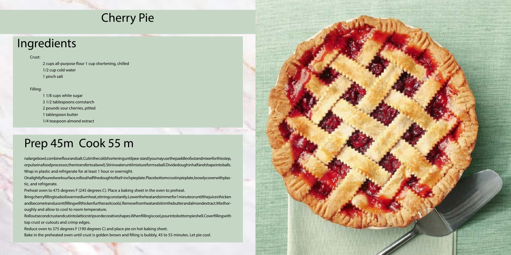## Prep 45m Cook 55 m

nalargebowl, combine flour and salt. Cutin the cold shortening until pea-sized (you may use the paddle of a stand mixer for this step, or pulse in a food processor, then transfer to a bowl). Stir in water until mixture forms a ball. Divided ough in half and shape into balls. Wrap in plastic and refrigerate for at least 1 hour or overnight.

Onalightlyfloured work surface, roll out half the dought of it a 9-inch pie plate. Place bottom crust in pie plate, loosely cover with plastic, and refrigerate.

Bring cherry filling to a boil over medium heat, stirring constantly. Lower the heat and simmer for 1 minute or until the juices thicken and becometranslucent (filling will thicken further as it cools). Remove from heat and stir in the butter and almond extract. Mix thoroughly and allow to cool to room temperature.

Rollout second crust and cutinto lattice strips or decorative shapes. When filling is cool, pour into bottom pieshell. Cover filling with top crust or cutouts and crimp edges.

Preheat oven to 475 degrees F (245 degrees C). Place a baking sheet in the oven to preheat.

Reduce oven to 375 degrees F (190 degrees C) and place pie on hot baking sheet.

Bake in the preheated oven until crust is golden brown and filling is bubbly, 45 to 55 minutes. Let pie cool.



## Ingredients

### Crust:

 2 cups all-purpose flour 1 cup shortening, chilled 1/2 cup cold water 1 pinch salt

Filling:

### 1 1/8 cups white sugar

3 1/2 tablespoons cornstarch

2 pounds sour cherries, pitted

1 tablespoon butter

1/4 teaspoon almond extract

## Cherry Pie